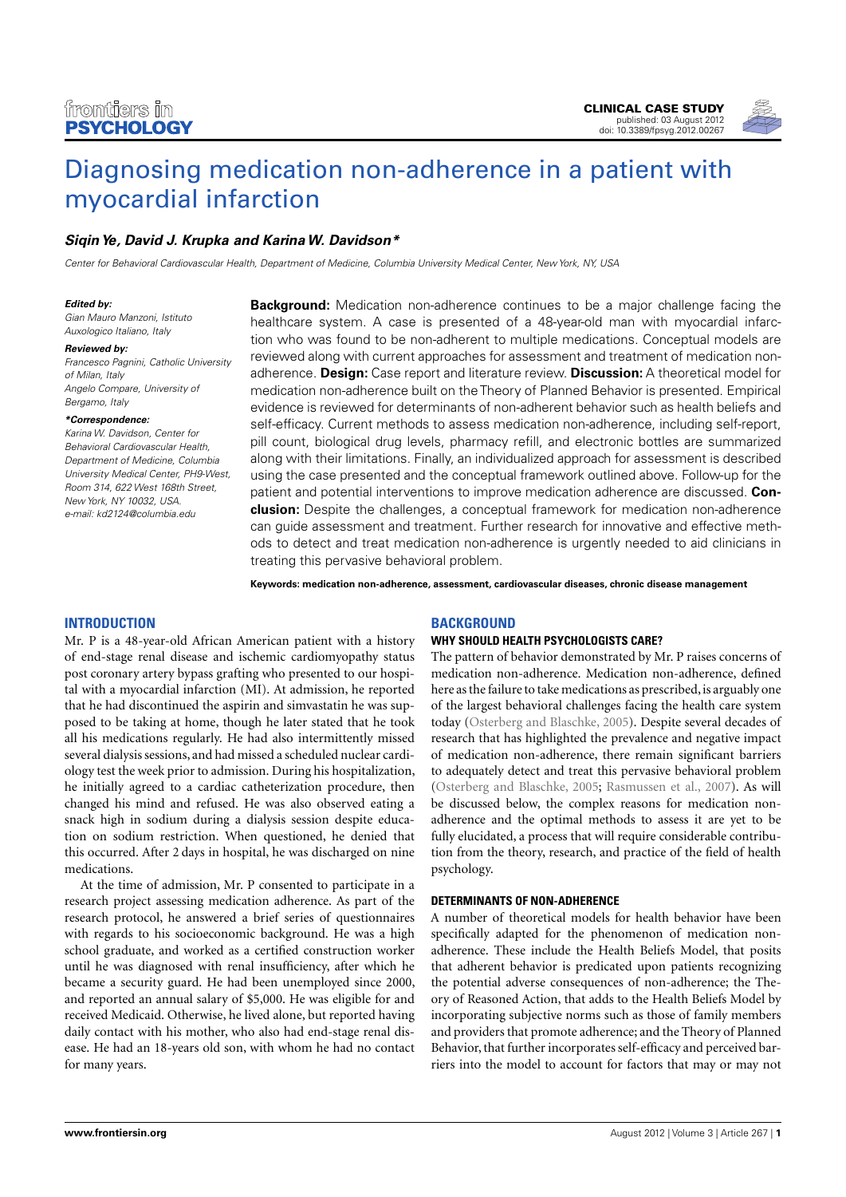

# [Diagnosing medication non-adherence in a patient with](http://www.frontiersin.org/Psychology_for_Clinical_Settings/10.3389/fpsyg.2012.00267/abstract) [myocardial infarction](http://www.frontiersin.org/Psychology_for_Clinical_Settings/10.3389/fpsyg.2012.00267/abstract)

## **[SiqinYe,](http://www.frontiersin.org/Community/WhosWhoActivity.aspx?sname=SiqinYe&UID=51634) [David J. Krupka](http://www.frontiersin.org/people/DavidKrupka/51982) and KarinaW. Davidson\***

Center for Behavioral Cardiovascular Health, Department of Medicine, Columbia University Medical Center, New York, NY, USA

#### **Edited by:**

Gian Mauro Manzoni, Istituto Auxologico Italiano, Italy

#### **Reviewed by:**

Francesco Pagnini, Catholic University of Milan, Italy Angelo Compare, University of Bergamo, Italy

#### **\*Correspondence:**

Karina W. Davidson, Center for Behavioral Cardiovascular Health, Department of Medicine, Columbia University Medical Center, PH9-West, Room 314, 622 West 168th Street, New York, NY 10032, USA. e-mail: [kd2124@columbia.edu](mailto:kd2124@columbia.edu)

**Background:** Medication non-adherence continues to be a major challenge facing the healthcare system. A case is presented of a 48-year-old man with myocardial infarction who was found to be non-adherent to multiple medications. Conceptual models are reviewed along with current approaches for assessment and treatment of medication nonadherence. **Design:** Case report and literature review. **Discussion:** A theoretical model for medication non-adherence built on the Theory of Planned Behavior is presented. Empirical evidence is reviewed for determinants of non-adherent behavior such as health beliefs and self-efficacy. Current methods to assess medication non-adherence, including self-report, pill count, biological drug levels, pharmacy refill, and electronic bottles are summarized along with their limitations. Finally, an individualized approach for assessment is described using the case presented and the conceptual framework outlined above. Follow-up for the patient and potential interventions to improve medication adherence are discussed. **Conclusion:** Despite the challenges, a conceptual framework for medication non-adherence can guide assessment and treatment. Further research for innovative and effective methods to detect and treat medication non-adherence is urgently needed to aid clinicians in treating this pervasive behavioral problem.

**Keywords: medication non-adherence, assessment, cardiovascular diseases, chronic disease management**

## **INTRODUCTION**

Mr. P is a 48-year-old African American patient with a history of end-stage renal disease and ischemic cardiomyopathy status post coronary artery bypass grafting who presented to our hospital with a myocardial infarction (MI). At admission, he reported that he had discontinued the aspirin and simvastatin he was supposed to be taking at home, though he later stated that he took all his medications regularly. He had also intermittently missed several dialysis sessions, and had missed a scheduled nuclear cardiology test the week prior to admission. During his hospitalization, he initially agreed to a cardiac catheterization procedure, then changed his mind and refused. He was also observed eating a snack high in sodium during a dialysis session despite education on sodium restriction. When questioned, he denied that this occurred. After 2 days in hospital, he was discharged on nine medications.

At the time of admission, Mr. P consented to participate in a research project assessing medication adherence. As part of the research protocol, he answered a brief series of questionnaires with regards to his socioeconomic background. He was a high school graduate, and worked as a certified construction worker until he was diagnosed with renal insufficiency, after which he became a security guard. He had been unemployed since 2000, and reported an annual salary of \$5,000. He was eligible for and received Medicaid. Otherwise, he lived alone, but reported having daily contact with his mother, who also had end-stage renal disease. He had an 18-years old son, with whom he had no contact for many years.

## **BACKGROUND**

#### **WHY SHOULD HEALTH PSYCHOLOGISTS CARE?**

The pattern of behavior demonstrated by Mr. P raises concerns of medication non-adherence. Medication non-adherence, defined here as the failure to take medications as prescribed, is arguably one of the largest behavioral challenges facing the health care system today [\(Osterberg and Blaschke, 2005\)](#page-4-0). Despite several decades of research that has highlighted the prevalence and negative impact of medication non-adherence, there remain significant barriers to adequately detect and treat this pervasive behavioral problem [\(Osterberg and Blaschke, 2005;](#page-4-0) [Rasmussen et al., 2007\)](#page-4-1). As will be discussed below, the complex reasons for medication nonadherence and the optimal methods to assess it are yet to be fully elucidated, a process that will require considerable contribution from the theory, research, and practice of the field of health psychology.

#### **DETERMINANTS OF NON-ADHERENCE**

A number of theoretical models for health behavior have been specifically adapted for the phenomenon of medication nonadherence. These include the Health Beliefs Model, that posits that adherent behavior is predicated upon patients recognizing the potential adverse consequences of non-adherence; the Theory of Reasoned Action, that adds to the Health Beliefs Model by incorporating subjective norms such as those of family members and providers that promote adherence; and the Theory of Planned Behavior, that further incorporates self-efficacy and perceived barriers into the model to account for factors that may or may not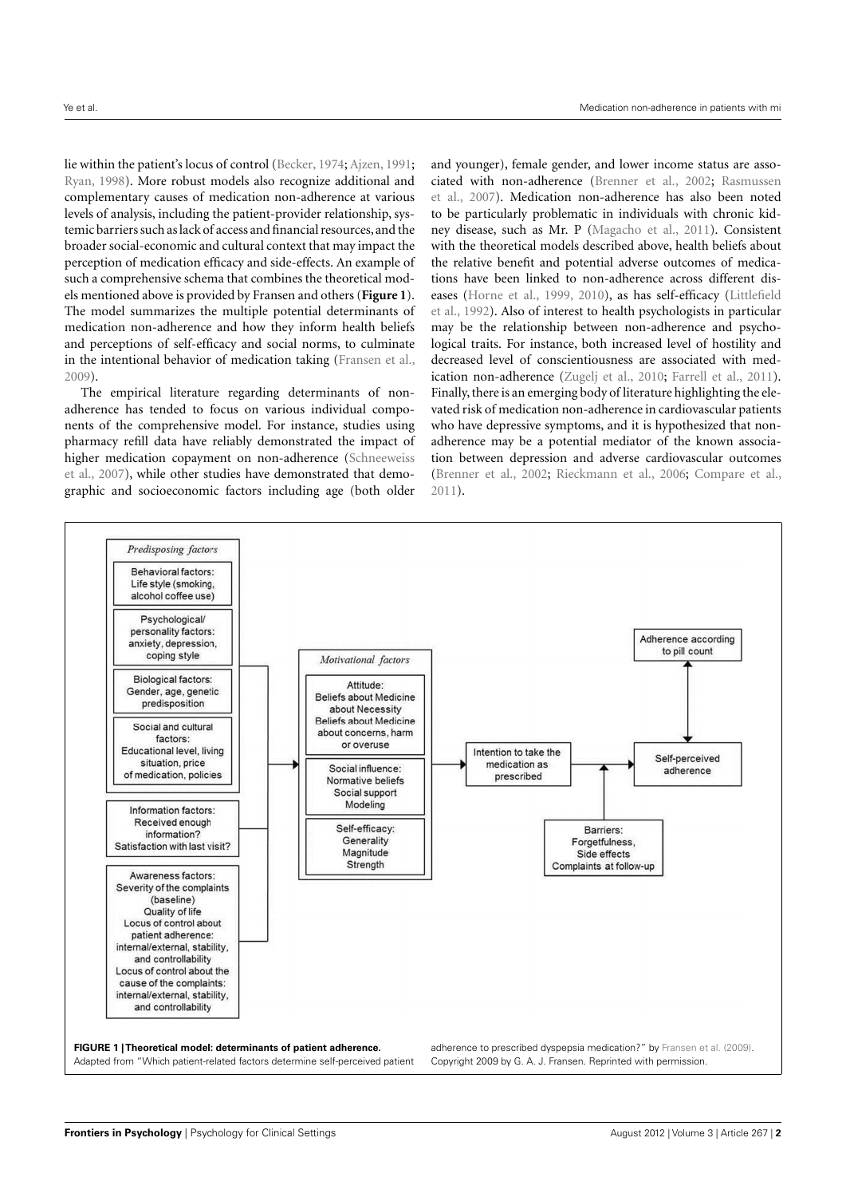lie within the patient's locus of control [\(Becker,](#page-4-2) [1974;](#page-4-2) [Ajzen,](#page-4-3) [1991;](#page-4-3) [Ryan,](#page-5-0) [1998\)](#page-5-0). More robust models also recognize additional and complementary causes of medication non-adherence at various levels of analysis, including the patient-provider relationship, systemic barriers such as lack of access and financial resources, and the broader social-economic and cultural context that may impact the perception of medication efficacy and side-effects. An example of such a comprehensive schema that combines the theoretical models mentioned above is provided by Fransen and others (**[Figure 1](#page-1-0)**). The model summarizes the multiple potential determinants of medication non-adherence and how they inform health beliefs and perceptions of self-efficacy and social norms, to culminate in the intentional behavior of medication taking [\(Fransen et al.,](#page-4-4) [2009\)](#page-4-4).

The empirical literature regarding determinants of nonadherence has tended to focus on various individual components of the comprehensive model. For instance, studies using pharmacy refill data have reliably demonstrated the impact of higher medication copayment on non-adherence [\(Schneeweiss](#page-5-1) [et al.,](#page-5-1) [2007\)](#page-5-1), while other studies have demonstrated that demographic and socioeconomic factors including age (both older

and younger), female gender, and lower income status are associated with non-adherence [\(Brenner et al.,](#page-4-5) [2002;](#page-4-5) [Rasmussen](#page-4-1) [et al.,](#page-4-1) [2007\)](#page-4-1). Medication non-adherence has also been noted to be particularly problematic in individuals with chronic kidney disease, such as Mr. P [\(Magacho et al.,](#page-4-6) [2011\)](#page-4-6). Consistent with the theoretical models described above, health beliefs about the relative benefit and potential adverse outcomes of medications have been linked to non-adherence across different diseases [\(Horne et al.,](#page-4-7) [1999,](#page-4-7) [2010\)](#page-4-8), as has self-efficacy [\(Littlefield](#page-4-9) [et al.,](#page-4-9) [1992\)](#page-4-9). Also of interest to health psychologists in particular may be the relationship between non-adherence and psychological traits. For instance, both increased level of hostility and decreased level of conscientiousness are associated with med-ication non-adherence [\(Zugelj et al.,](#page-5-2) [2010;](#page-5-2) [Farrell et al.,](#page-4-10) [2011\)](#page-4-10). Finally, there is an emerging body of literature highlighting the elevated risk of medication non-adherence in cardiovascular patients who have depressive symptoms, and it is hypothesized that nonadherence may be a potential mediator of the known association between depression and adverse cardiovascular outcomes [\(Brenner et al.,](#page-4-5) [2002;](#page-4-5) [Rieckmann et al.,](#page-5-3) [2006;](#page-5-3) [Compare et al.,](#page-4-11) [2011\)](#page-4-11).

<span id="page-1-0"></span>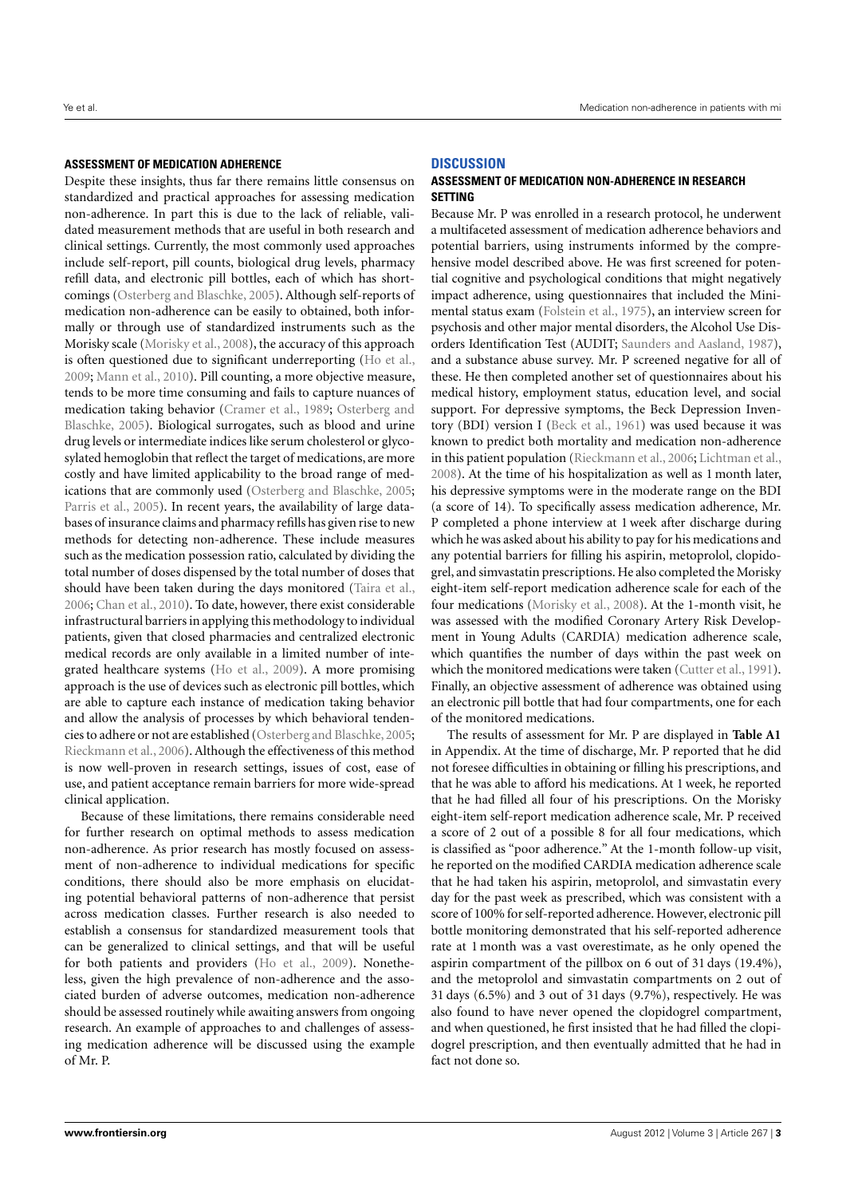#### **ASSESSMENT OF MEDICATION ADHERENCE**

Despite these insights, thus far there remains little consensus on standardized and practical approaches for assessing medication non-adherence. In part this is due to the lack of reliable, validated measurement methods that are useful in both research and clinical settings. Currently, the most commonly used approaches include self-report, pill counts, biological drug levels, pharmacy refill data, and electronic pill bottles, each of which has shortcomings [\(Osterberg and Blaschke,](#page-4-0) [2005\)](#page-4-0). Although self-reports of medication non-adherence can be easily to obtained, both informally or through use of standardized instruments such as the Morisky scale [\(Morisky et al.,](#page-4-12) [2008\)](#page-4-12), the accuracy of this approach is often questioned due to significant underreporting [\(Ho et al.,](#page-4-13) [2009;](#page-4-13) [Mann et al.,](#page-4-14) [2010\)](#page-4-14). Pill counting, a more objective measure, tends to be more time consuming and fails to capture nuances of medication taking behavior [\(Cramer et al.,](#page-4-15) [1989;](#page-4-15) [Osterberg and](#page-4-0) [Blaschke,](#page-4-0) [2005\)](#page-4-0). Biological surrogates, such as blood and urine drug levels or intermediate indices like serum cholesterol or glycosylated hemoglobin that reflect the target of medications, are more costly and have limited applicability to the broad range of medications that are commonly used [\(Osterberg and Blaschke,](#page-4-0) [2005;](#page-4-0) [Parris et al.,](#page-4-16) [2005\)](#page-4-16). In recent years, the availability of large databases of insurance claims and pharmacy refills has given rise to new methods for detecting non-adherence. These include measures such as the medication possession ratio, calculated by dividing the total number of doses dispensed by the total number of doses that should have been taken during the days monitored [\(Taira et al.,](#page-5-4) [2006;](#page-5-4) [Chan et al.,](#page-4-17) [2010\)](#page-4-17). To date, however, there exist considerable infrastructural barriers in applying this methodology to individual patients, given that closed pharmacies and centralized electronic medical records are only available in a limited number of integrated healthcare systems [\(Ho et al.,](#page-4-13) [2009\)](#page-4-13). A more promising approach is the use of devices such as electronic pill bottles, which are able to capture each instance of medication taking behavior and allow the analysis of processes by which behavioral tendencies to adhere or not are established [\(Osterberg and Blaschke,](#page-4-0) [2005;](#page-4-0) [Rieckmann et al.,](#page-5-3) [2006\)](#page-5-3). Although the effectiveness of this method is now well-proven in research settings, issues of cost, ease of use, and patient acceptance remain barriers for more wide-spread clinical application.

Because of these limitations, there remains considerable need for further research on optimal methods to assess medication non-adherence. As prior research has mostly focused on assessment of non-adherence to individual medications for specific conditions, there should also be more emphasis on elucidating potential behavioral patterns of non-adherence that persist across medication classes. Further research is also needed to establish a consensus for standardized measurement tools that can be generalized to clinical settings, and that will be useful for both patients and providers [\(Ho et al.,](#page-4-13) [2009\)](#page-4-13). Nonetheless, given the high prevalence of non-adherence and the associated burden of adverse outcomes, medication non-adherence should be assessed routinely while awaiting answers from ongoing research. An example of approaches to and challenges of assessing medication adherence will be discussed using the example of Mr. P.

## **DISCUSSION**

## **ASSESSMENT OF MEDICATION NON-ADHERENCE IN RESEARCH SETTING**

Because Mr. P was enrolled in a research protocol, he underwent a multifaceted assessment of medication adherence behaviors and potential barriers, using instruments informed by the comprehensive model described above. He was first screened for potential cognitive and psychological conditions that might negatively impact adherence, using questionnaires that included the Minimental status exam [\(Folstein et al.,](#page-4-18) [1975\)](#page-4-18), an interview screen for psychosis and other major mental disorders, the Alcohol Use Disorders Identification Test (AUDIT; [Saunders and Aasland,](#page-5-5) [1987\)](#page-5-5), and a substance abuse survey. Mr. P screened negative for all of these. He then completed another set of questionnaires about his medical history, employment status, education level, and social support. For depressive symptoms, the Beck Depression Inventory (BDI) version I [\(Beck et al.,](#page-4-19) [1961\)](#page-4-19) was used because it was known to predict both mortality and medication non-adherence in this patient population [\(Rieckmann et al.,](#page-5-3) [2006;](#page-5-3) [Lichtman et al.,](#page-4-20) [2008\)](#page-4-20). At the time of his hospitalization as well as 1 month later, his depressive symptoms were in the moderate range on the BDI (a score of 14). To specifically assess medication adherence, Mr. P completed a phone interview at 1 week after discharge during which he was asked about his ability to pay for his medications and any potential barriers for filling his aspirin, metoprolol, clopidogrel, and simvastatin prescriptions. He also completed the Morisky eight-item self-report medication adherence scale for each of the four medications [\(Morisky et al.,](#page-4-12) [2008\)](#page-4-12). At the 1-month visit, he was assessed with the modified Coronary Artery Risk Development in Young Adults (CARDIA) medication adherence scale, which quantifies the number of days within the past week on which the monitored medications were taken [\(Cutter et al.,](#page-4-21) [1991\)](#page-4-21). Finally, an objective assessment of adherence was obtained using an electronic pill bottle that had four compartments, one for each of the monitored medications.

The results of assessment for Mr. P are displayed in **[Table A1](#page-6-0)** in Appendix. At the time of discharge, Mr. P reported that he did not foresee difficulties in obtaining or filling his prescriptions, and that he was able to afford his medications. At 1 week, he reported that he had filled all four of his prescriptions. On the Morisky eight-item self-report medication adherence scale, Mr. P received a score of 2 out of a possible 8 for all four medications, which is classified as "poor adherence." At the 1-month follow-up visit, he reported on the modified CARDIA medication adherence scale that he had taken his aspirin, metoprolol, and simvastatin every day for the past week as prescribed, which was consistent with a score of 100% for self-reported adherence. However, electronic pill bottle monitoring demonstrated that his self-reported adherence rate at 1 month was a vast overestimate, as he only opened the aspirin compartment of the pillbox on 6 out of 31 days (19.4%), and the metoprolol and simvastatin compartments on 2 out of 31 days (6.5%) and 3 out of 31 days (9.7%), respectively. He was also found to have never opened the clopidogrel compartment, and when questioned, he first insisted that he had filled the clopidogrel prescription, and then eventually admitted that he had in fact not done so.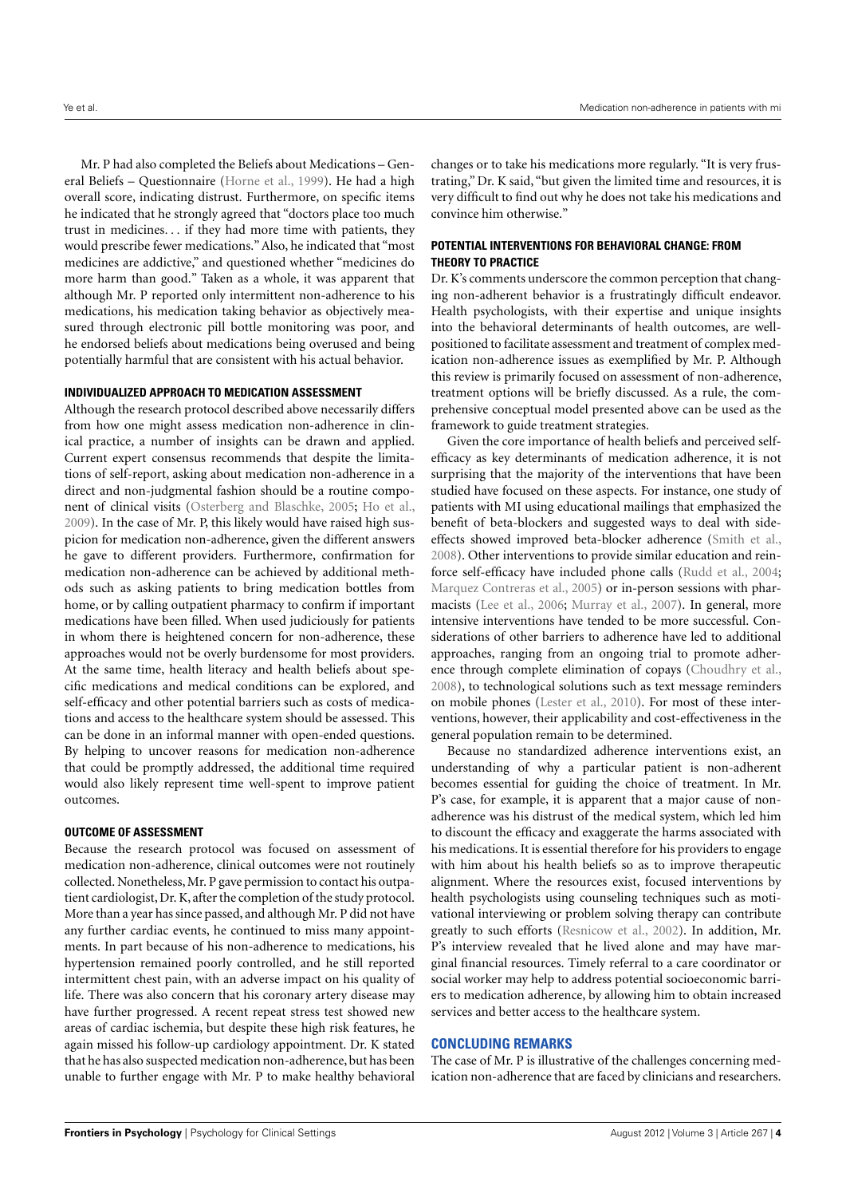Mr. P had also completed the Beliefs about Medications – General Beliefs – Questionnaire [\(Horne et al.,](#page-4-7) [1999\)](#page-4-7). He had a high overall score, indicating distrust. Furthermore, on specific items he indicated that he strongly agreed that "doctors place too much trust in medicines. . . if they had more time with patients, they would prescribe fewer medications." Also, he indicated that "most medicines are addictive," and questioned whether "medicines do more harm than good." Taken as a whole, it was apparent that although Mr. P reported only intermittent non-adherence to his medications, his medication taking behavior as objectively measured through electronic pill bottle monitoring was poor, and he endorsed beliefs about medications being overused and being potentially harmful that are consistent with his actual behavior.

#### **INDIVIDUALIZED APPROACH TO MEDICATION ASSESSMENT**

Although the research protocol described above necessarily differs from how one might assess medication non-adherence in clinical practice, a number of insights can be drawn and applied. Current expert consensus recommends that despite the limitations of self-report, asking about medication non-adherence in a direct and non-judgmental fashion should be a routine component of clinical visits [\(Osterberg and Blaschke,](#page-4-0) [2005;](#page-4-0) [Ho et al.,](#page-4-13) [2009\)](#page-4-13). In the case of Mr. P, this likely would have raised high suspicion for medication non-adherence, given the different answers he gave to different providers. Furthermore, confirmation for medication non-adherence can be achieved by additional methods such as asking patients to bring medication bottles from home, or by calling outpatient pharmacy to confirm if important medications have been filled. When used judiciously for patients in whom there is heightened concern for non-adherence, these approaches would not be overly burdensome for most providers. At the same time, health literacy and health beliefs about specific medications and medical conditions can be explored, and self-efficacy and other potential barriers such as costs of medications and access to the healthcare system should be assessed. This can be done in an informal manner with open-ended questions. By helping to uncover reasons for medication non-adherence that could be promptly addressed, the additional time required would also likely represent time well-spent to improve patient outcomes.

#### **OUTCOME OF ASSESSMENT**

Because the research protocol was focused on assessment of medication non-adherence, clinical outcomes were not routinely collected. Nonetheless,Mr. P gave permission to contact his outpatient cardiologist, Dr. K, after the completion of the study protocol. More than a year has since passed, and although Mr. P did not have any further cardiac events, he continued to miss many appointments. In part because of his non-adherence to medications, his hypertension remained poorly controlled, and he still reported intermittent chest pain, with an adverse impact on his quality of life. There was also concern that his coronary artery disease may have further progressed. A recent repeat stress test showed new areas of cardiac ischemia, but despite these high risk features, he again missed his follow-up cardiology appointment. Dr. K stated that he has also suspected medication non-adherence, but has been unable to further engage with Mr. P to make healthy behavioral

changes or to take his medications more regularly. "It is very frustrating," Dr. K said, "but given the limited time and resources, it is very difficult to find out why he does not take his medications and convince him otherwise."

## **POTENTIAL INTERVENTIONS FOR BEHAVIORAL CHANGE: FROM THEORY TO PRACTICE**

Dr. K's comments underscore the common perception that changing non-adherent behavior is a frustratingly difficult endeavor. Health psychologists, with their expertise and unique insights into the behavioral determinants of health outcomes, are wellpositioned to facilitate assessment and treatment of complex medication non-adherence issues as exemplified by Mr. P. Although this review is primarily focused on assessment of non-adherence, treatment options will be briefly discussed. As a rule, the comprehensive conceptual model presented above can be used as the framework to guide treatment strategies.

Given the core importance of health beliefs and perceived selfefficacy as key determinants of medication adherence, it is not surprising that the majority of the interventions that have been studied have focused on these aspects. For instance, one study of patients with MI using educational mailings that emphasized the benefit of beta-blockers and suggested ways to deal with sideeffects showed improved beta-blocker adherence [\(Smith et al.,](#page-5-6) [2008\)](#page-5-6). Other interventions to provide similar education and reinforce self-efficacy have included phone calls [\(Rudd et al.,](#page-5-7) [2004;](#page-5-7) [Marquez Contreras et al.,](#page-4-22) [2005\)](#page-4-22) or in-person sessions with pharmacists [\(Lee et al.,](#page-4-23) [2006;](#page-4-23) [Murray et al.,](#page-4-24) [2007\)](#page-4-24). In general, more intensive interventions have tended to be more successful. Considerations of other barriers to adherence have led to additional approaches, ranging from an ongoing trial to promote adherence through complete elimination of copays [\(Choudhry et al.,](#page-4-25) [2008\)](#page-4-25), to technological solutions such as text message reminders on mobile phones [\(Lester et al.,](#page-4-26) [2010\)](#page-4-26). For most of these interventions, however, their applicability and cost-effectiveness in the general population remain to be determined.

Because no standardized adherence interventions exist, an understanding of why a particular patient is non-adherent becomes essential for guiding the choice of treatment. In Mr. P's case, for example, it is apparent that a major cause of nonadherence was his distrust of the medical system, which led him to discount the efficacy and exaggerate the harms associated with his medications. It is essential therefore for his providers to engage with him about his health beliefs so as to improve therapeutic alignment. Where the resources exist, focused interventions by health psychologists using counseling techniques such as motivational interviewing or problem solving therapy can contribute greatly to such efforts [\(Resnicow et al.,](#page-5-8) [2002\)](#page-5-8). In addition, Mr. P's interview revealed that he lived alone and may have marginal financial resources. Timely referral to a care coordinator or social worker may help to address potential socioeconomic barriers to medication adherence, by allowing him to obtain increased services and better access to the healthcare system.

## **CONCLUDING REMARKS**

The case of Mr. P is illustrative of the challenges concerning medication non-adherence that are faced by clinicians and researchers.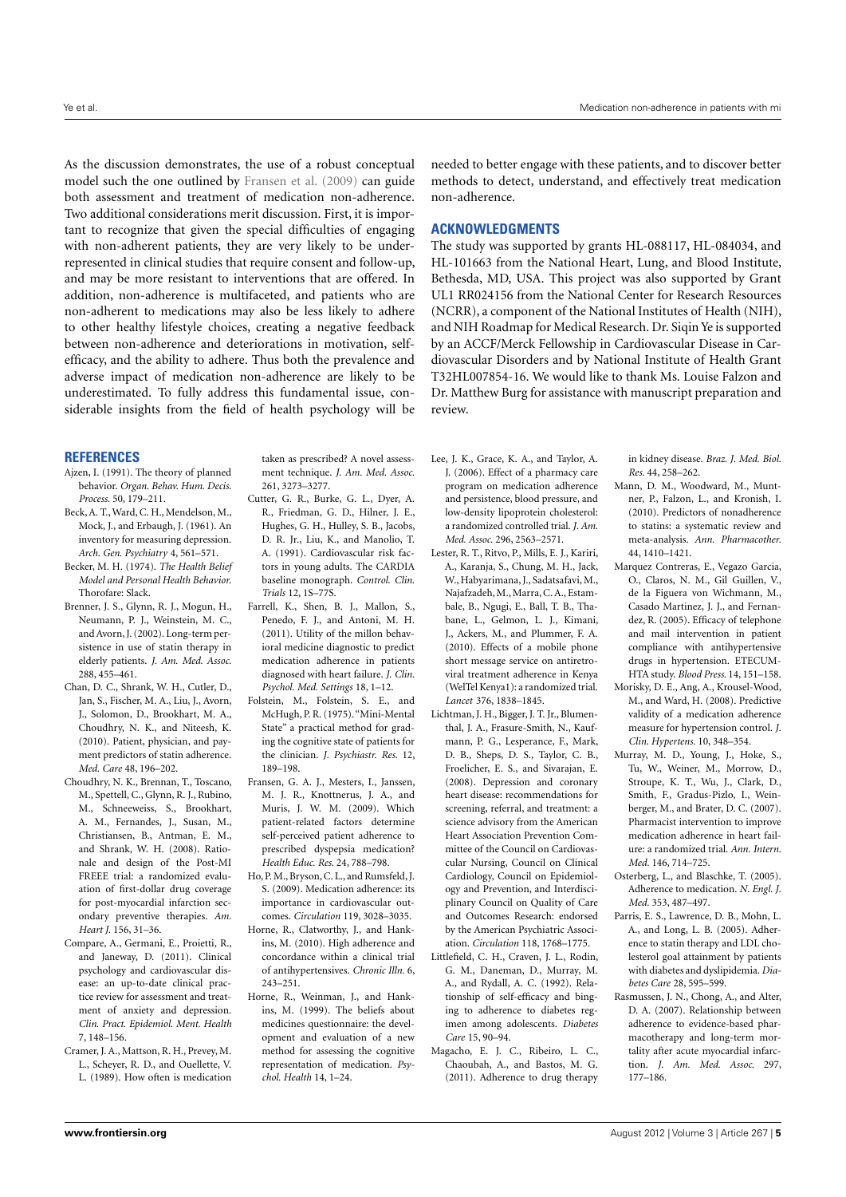As the discussion demonstrates, the use of a robust conceptual model such the one outlined by [Fransen et al.](#page-4-4) [\(2009\)](#page-4-4) can guide both assessment and treatment of medication non-adherence. Two additional considerations merit discussion. First, it is important to recognize that given the special difficulties of engaging with non-adherent patients, they are very likely to be underrepresented in clinical studies that require consent and follow-up, and may be more resistant to interventions that are offered. In addition, non-adherence is multifaceted, and patients who are non-adherent to medications may also be less likely to adhere to other healthy lifestyle choices, creating a negative feedback between non-adherence and deteriorations in motivation, selfefficacy, and the ability to adhere. Thus both the prevalence and adverse impact of medication non-adherence are likely to be underestimated. To fully address this fundamental issue, considerable insights from the field of health psychology will be

#### **REFERENCES**

- <span id="page-4-3"></span>Ajzen, I. (1991). The theory of planned behavior. *Organ. Behav. Hum. Decis. Process.* 50, 179–211.
- <span id="page-4-19"></span>Beck, A. T. Ward, C. H., Mendelson, M. Mock, J., and Erbaugh, J. (1961). An inventory for measuring depression. *Arch. Gen. Psychiatry* 4, 561–571.
- <span id="page-4-2"></span>Becker, M. H. (1974). *The Health Belief Model and Personal Health Behavior.* Thorofare: Slack.
- <span id="page-4-5"></span>Brenner, J. S., Glynn, R. J., Mogun, H., Neumann, P. J., Weinstein, M. C., and Avorn, J. (2002). Long-term persistence in use of statin therapy in elderly patients. *J. Am. Med. Assoc.* 288, 455–461.
- <span id="page-4-17"></span>Chan, D. C., Shrank, W. H., Cutler, D., Jan, S., Fischer, M. A., Liu, J., Avorn, J., Solomon, D., Brookhart, M. A., Choudhry, N. K., and Niteesh, K. (2010). Patient, physician, and payment predictors of statin adherence. *Med. Care* 48, 196–202.
- <span id="page-4-25"></span>Choudhry, N. K., Brennan, T., Toscano, M., Spettell, C., Glynn, R. J., Rubino, M., Schneeweiss, S., Brookhart, A. M., Fernandes, J., Susan, M., Christiansen, B., Antman, E. M., and Shrank, W. H. (2008). Rationale and design of the Post-MI FREEE trial: a randomized evaluation of first-dollar drug coverage for post-myocardial infarction secondary preventive therapies. *Am. Heart J.* 156, 31–36.
- <span id="page-4-11"></span>Compare, A., Germani, E., Proietti, R., and Janeway, D. (2011). Clinical psychology and cardiovascular disease: an up-to-date clinical practice review for assessment and treatment of anxiety and depression. *Clin. Pract. Epidemiol. Ment. Health* 7, 148–156.
- <span id="page-4-15"></span>Cramer, J. A., Mattson, R. H., Prevey, M. L., Scheyer, R. D., and Ouellette, V. L. (1989). How often is medication

taken as prescribed? A novel assessment technique. *J. Am. Med. Assoc.* 261, 3273–3277.

- <span id="page-4-21"></span>Cutter, G. R., Burke, G. L., Dyer, A. R., Friedman, G. D., Hilner, J. E., Hughes, G. H., Hulley, S. B., Jacobs, D. R. Jr., Liu, K., and Manolio, T. A. (1991). Cardiovascular risk factors in young adults. The CARDIA baseline monograph. *Control. Clin. Trials* 12, 1S–77S.
- <span id="page-4-10"></span>Farrell, K., Shen, B. J., Mallon, S., Penedo, F. J., and Antoni, M. H. (2011). Utility of the millon behavioral medicine diagnostic to predict medication adherence in patients diagnosed with heart failure. *J. Clin. Psychol. Med. Settings* 18, 1–12.
- <span id="page-4-18"></span>Folstein, M., Folstein, S. E., and McHugh, P. R. (1975). "Mini-Mental State" a practical method for grading the cognitive state of patients for the clinician. *J. Psychiastr. Res.* 12, 189–198.
- <span id="page-4-4"></span>Fransen, G. A. J., Mesters, I., Janssen, M. J. R., Knottnerus, J. A., and Muris, J. W. M. (2009). Which patient-related factors determine self-perceived patient adherence to prescribed dyspepsia medication? *Health Educ. Res.* 24, 788–798.
- <span id="page-4-13"></span>Ho, P. M., Bryson, C. L., and Rumsfeld, J. S. (2009). Medication adherence: its importance in cardiovascular outcomes. *Circulation* 119, 3028–3035.
- <span id="page-4-8"></span>Horne, R., Clatworthy, J., and Hankins, M. (2010). High adherence and concordance within a clinical trial of antihypertensives. *Chronic Illn.* 6, 243–251.
- <span id="page-4-7"></span>Horne, R., Weinman, J., and Hankins, M. (1999). The beliefs about medicines questionnaire: the development and evaluation of a new method for assessing the cognitive representation of medication. *Psychol. Health* 14, 1–24.

needed to better engage with these patients, and to discover better methods to detect, understand, and effectively treat medication non-adherence.

## **ACKNOWLEDGMENTS**

The study was supported by grants HL-088117, HL-084034, and HL-101663 from the National Heart, Lung, and Blood Institute, Bethesda, MD, USA. This project was also supported by Grant UL1 RR024156 from the National Center for Research Resources (NCRR), a component of the National Institutes of Health (NIH), and NIH Roadmap for Medical Research. Dr. Siqin Ye is supported by an ACCF/Merck Fellowship in Cardiovascular Disease in Cardiovascular Disorders and by National Institute of Health Grant T32HL007854-16. We would like to thank Ms. Louise Falzon and Dr. Matthew Burg for assistance with manuscript preparation and review.

- <span id="page-4-23"></span>Lee, J. K., Grace, K. A., and Taylor, A. J. (2006). Effect of a pharmacy care program on medication adherence and persistence, blood pressure, and low-density lipoprotein cholesterol: a randomized controlled trial. *J. Am. Med. Assoc.* 296, 2563–2571.
- <span id="page-4-26"></span>Lester, R. T., Ritvo, P., Mills, E. J., Kariri, A., Karanja, S., Chung, M. H., Jack, W., Habyarimana, J., Sadatsafavi, M., Najafzadeh,M.,Marra, C. A., Estambale, B., Ngugi, E., Ball, T. B., Thabane, L., Gelmon, L. J., Kimani, J., Ackers, M., and Plummer, F. A. (2010). Effects of a mobile phone short message service on antiretroviral treatment adherence in Kenya (WelTel Kenya1): a randomized trial. *Lancet* 376, 1838–1845.
- <span id="page-4-20"></span>Lichtman, J. H., Bigger, J. T. Jr., Blumenthal, J. A., Frasure-Smith, N., Kaufmann, P. G., Lesperance, F., Mark, D. B., Sheps, D. S., Taylor, C. B., Froelicher, E. S., and Sivarajan, E. (2008). Depression and coronary heart disease: recommendations for screening, referral, and treatment: a science advisory from the American Heart Association Prevention Committee of the Council on Cardiovascular Nursing, Council on Clinical Cardiology, Council on Epidemiology and Prevention, and Interdisciplinary Council on Quality of Care and Outcomes Research: endorsed by the American Psychiatric Association. *Circulation* 118, 1768–1775.
- <span id="page-4-9"></span>Littlefield, C. H., Craven, J. L., Rodin, G. M., Daneman, D., Murray, M. A., and Rydall, A. C. (1992). Relationship of self-efficacy and binging to adherence to diabetes regimen among adolescents. *Diabetes Care* 15, 90–94.
- <span id="page-4-6"></span>Magacho, E. J. C., Ribeiro, L. C., Chaoubah, A., and Bastos, M. G. (2011). Adherence to drug therapy

in kidney disease. *Braz. J. Med. Biol. Res.* 44, 258–262.

- <span id="page-4-14"></span>Mann, D. M., Woodward, M., Muntner, P., Falzon, L., and Kronish, I. (2010). Predictors of nonadherence to statins: a systematic review and meta-analysis. *Ann. Pharmacother.* 44, 1410–1421.
- <span id="page-4-22"></span>Marquez Contreras, E., Vegazo Garcia, O., Claros, N. M., Gil Guillen, V., de la Figuera von Wichmann, M., Casado Martinez, J. J., and Fernandez, R. (2005). Efficacy of telephone and mail intervention in patient compliance with antihypertensive drugs in hypertension. ETECUM-HTA study. *Blood Press.* 14, 151–158.
- <span id="page-4-12"></span>Morisky, D. E., Ang, A., Krousel-Wood, M., and Ward, H. (2008). Predictive validity of a medication adherence measure for hypertension control. *J. Clin. Hypertens.* 10, 348–354.
- <span id="page-4-24"></span>Murray, M. D., Young, J., Hoke, S., Tu, W., Weiner, M., Morrow, D., Stroupe, K. T., Wu, J., Clark, D., Smith, F., Gradus-Pizlo, I., Weinberger, M., and Brater, D. C. (2007). Pharmacist intervention to improve medication adherence in heart failure: a randomized trial. *Ann. Intern. Med.* 146, 714–725.
- <span id="page-4-0"></span>Osterberg, L., and Blaschke, T. (2005). Adherence to medication. *N. Engl. J. Med.* 353, 487–497.
- <span id="page-4-16"></span>Parris, E. S., Lawrence, D. B., Mohn, L. A., and Long, L. B. (2005). Adherence to statin therapy and LDL cholesterol goal attainment by patients with diabetes and dyslipidemia. *Diabetes Care* 28, 595–599.
- <span id="page-4-1"></span>Rasmussen, J. N., Chong, A., and Alter, D. A. (2007). Relationship between adherence to evidence-based pharmacotherapy and long-term mortality after acute myocardial infarction. *J. Am. Med. Assoc.* 297, 177–186.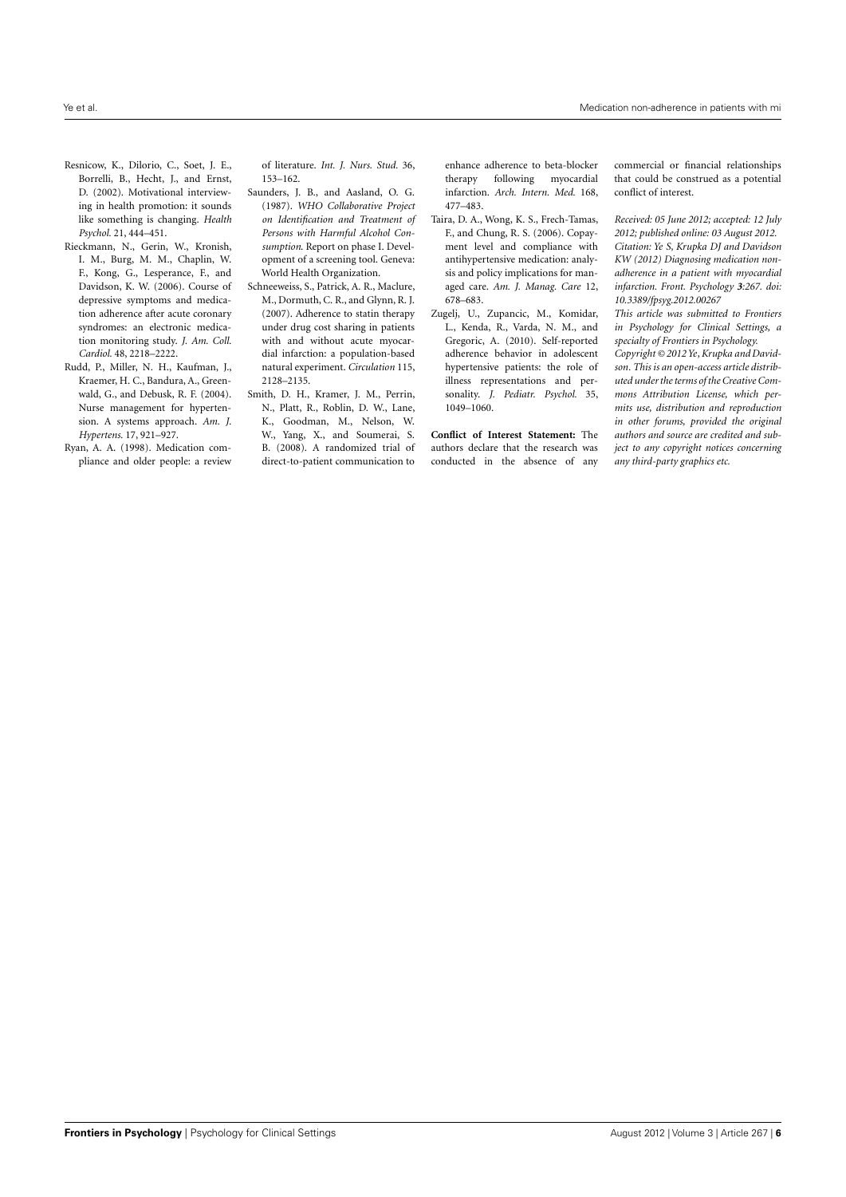- <span id="page-5-8"></span>Resnicow, K., Dilorio, C., Soet, J. E., Borrelli, B., Hecht, J., and Ernst, D. (2002). Motivational interviewing in health promotion: it sounds like something is changing. *Health Psychol.* 21, 444–451.
- <span id="page-5-3"></span>Rieckmann, N., Gerin, W., Kronish, I. M., Burg, M. M., Chaplin, W. F., Kong, G., Lesperance, F., and Davidson, K. W. (2006). Course of depressive symptoms and medication adherence after acute coronary syndromes: an electronic medication monitoring study. *J. Am. Coll. Cardiol.* 48, 2218–2222.
- <span id="page-5-7"></span>Rudd, P., Miller, N. H., Kaufman, J., Kraemer, H. C., Bandura, A., Greenwald, G., and Debusk, R. F. (2004). Nurse management for hypertension. A systems approach. *Am. J. Hypertens.* 17, 921–927.
- <span id="page-5-0"></span>Ryan, A. A. (1998). Medication compliance and older people: a review

of literature. *Int. J. Nurs. Stud.* 36, 153–162.

- <span id="page-5-5"></span>Saunders, J. B., and Aasland, O. G. (1987). *WHO Collaborative Project on Identification and Treatment of Persons with Harmful Alcohol Consumption*. Report on phase I. Development of a screening tool. Geneva: World Health Organization.
- <span id="page-5-1"></span>Schneeweiss, S., Patrick, A. R., Maclure, M., Dormuth, C. R., and Glynn, R. J. (2007). Adherence to statin therapy under drug cost sharing in patients with and without acute myocardial infarction: a population-based natural experiment. *Circulation* 115, 2128–2135.
- <span id="page-5-6"></span>Smith, D. H., Kramer, J. M., Perrin, N., Platt, R., Roblin, D. W., Lane, K., Goodman, M., Nelson, W. W., Yang, X., and Soumerai, S. B. (2008). A randomized trial of direct-to-patient communication to

enhance adherence to beta-blocker therapy following myocardial infarction. *Arch. Intern. Med.* 168, 477–483.

- <span id="page-5-4"></span>Taira, D. A., Wong, K. S., Frech-Tamas, F., and Chung, R. S. (2006). Copayment level and compliance with antihypertensive medication: analysis and policy implications for managed care. *Am. J. Manag. Care* 12, 678–683.
- <span id="page-5-2"></span>Zugelj, U., Zupancic, M., Komidar, L., Kenda, R., Varda, N. M., and Gregoric, A. (2010). Self-reported adherence behavior in adolescent hypertensive patients: the role of illness representations and personality. *J. Pediatr. Psychol.* 35, 1049–1060.

**Conflict of Interest Statement:** The authors declare that the research was conducted in the absence of any commercial or financial relationships that could be construed as a potential conflict of interest.

*Received: 05 June 2012; accepted: 12 July 2012; published online: 03 August 2012. Citation: Ye S, Krupka DJ and Davidson KW (2012) Diagnosing medication nonadherence in a patient with myocardial infarction. Front. Psychology 3:267. doi: [10.3389/fpsyg.2012.00267](http://dx.doi.org/10.3389/fpsyg.2012.00267) This article was submitted to Frontiers*

*in Psychology for Clinical Settings, a specialty of Frontiers in Psychology. Copyright © 2012 Ye, Krupka and Davidson. This is an open-access article distributed under the terms of the[Creative Com](http://creativecommons.org/licenses/by/3.0/)[mons Attribution License,](http://creativecommons.org/licenses/by/3.0/) which permits use, distribution and reproduction in other forums, provided the original authors and source are credited and subject to any copyright notices concerning any third-party graphics etc.*